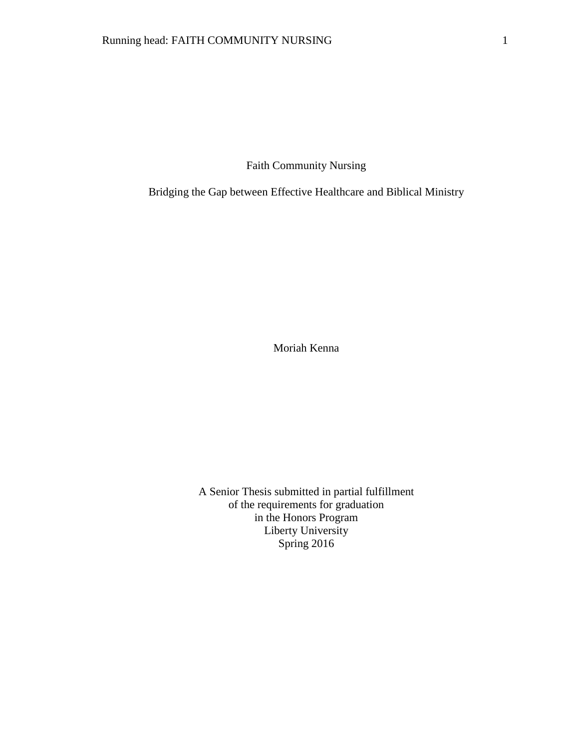Faith Community Nursing

Bridging the Gap between Effective Healthcare and Biblical Ministry

Moriah Kenna

A Senior Thesis submitted in partial fulfillment of the requirements for graduation in the Honors Program Liberty University Spring 2016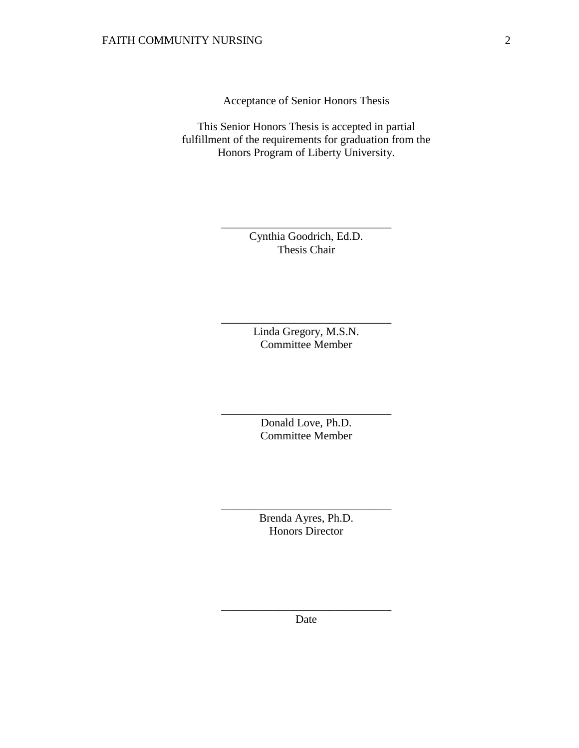Acceptance of Senior Honors Thesis

This Senior Honors Thesis is accepted in partial fulfillment of the requirements for graduation from the Honors Program of Liberty University.

> Cynthia Goodrich, Ed.D. Thesis Chair

\_\_\_\_\_\_\_\_\_\_\_\_\_\_\_\_\_\_\_\_\_\_\_\_\_\_\_\_\_\_

Linda Gregory, M.S.N. Committee Member

\_\_\_\_\_\_\_\_\_\_\_\_\_\_\_\_\_\_\_\_\_\_\_\_\_\_\_\_\_\_

Donald Love, Ph.D. Committee Member

\_\_\_\_\_\_\_\_\_\_\_\_\_\_\_\_\_\_\_\_\_\_\_\_\_\_\_\_\_\_

Brenda Ayres, Ph.D. Honors Director

\_\_\_\_\_\_\_\_\_\_\_\_\_\_\_\_\_\_\_\_\_\_\_\_\_\_\_\_\_\_

\_\_\_\_\_\_\_\_\_\_\_\_\_\_\_\_\_\_\_\_\_\_\_\_\_\_\_\_\_\_ Date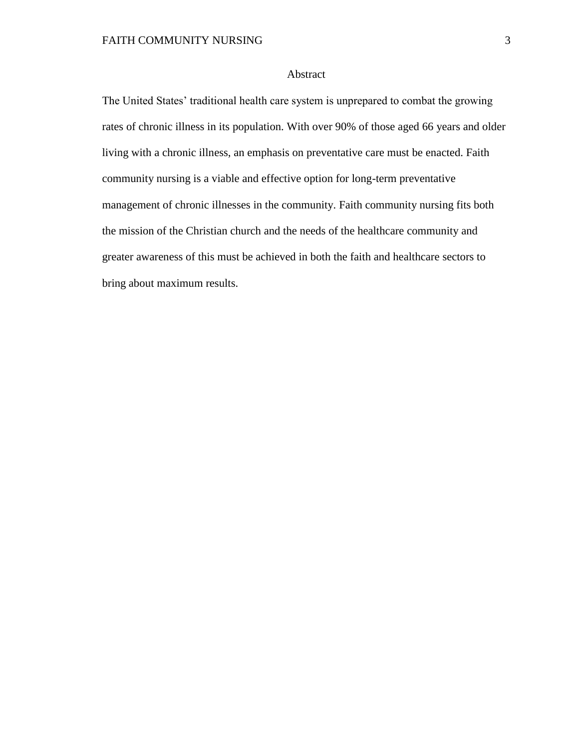## Abstract

The United States' traditional health care system is unprepared to combat the growing rates of chronic illness in its population. With over 90% of those aged 66 years and older living with a chronic illness, an emphasis on preventative care must be enacted. Faith community nursing is a viable and effective option for long-term preventative management of chronic illnesses in the community. Faith community nursing fits both the mission of the Christian church and the needs of the healthcare community and greater awareness of this must be achieved in both the faith and healthcare sectors to bring about maximum results.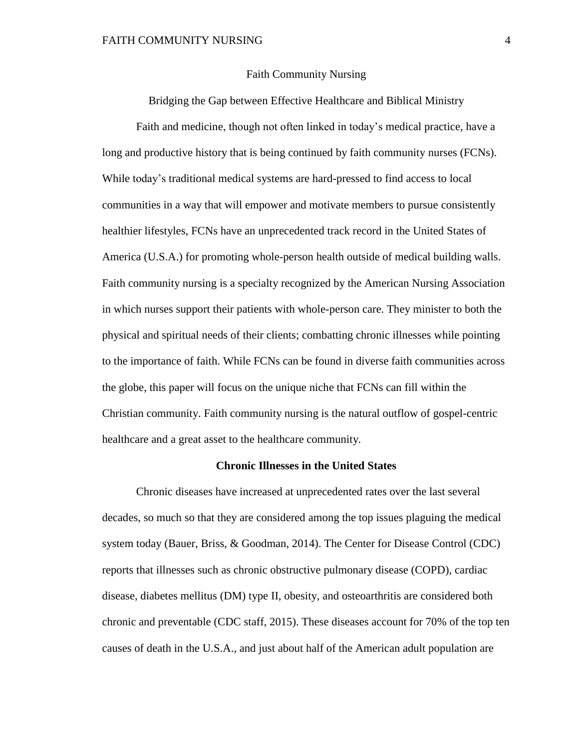#### Faith Community Nursing

Bridging the Gap between Effective Healthcare and Biblical Ministry

Faith and medicine, though not often linked in today's medical practice, have a long and productive history that is being continued by faith community nurses (FCNs). While today's traditional medical systems are hard-pressed to find access to local communities in a way that will empower and motivate members to pursue consistently healthier lifestyles, FCNs have an unprecedented track record in the United States of America (U.S.A.) for promoting whole-person health outside of medical building walls. Faith community nursing is a specialty recognized by the American Nursing Association in which nurses support their patients with whole-person care. They minister to both the physical and spiritual needs of their clients; combatting chronic illnesses while pointing to the importance of faith. While FCNs can be found in diverse faith communities across the globe, this paper will focus on the unique niche that FCNs can fill within the Christian community. Faith community nursing is the natural outflow of gospel-centric healthcare and a great asset to the healthcare community.

### **Chronic Illnesses in the United States**

Chronic diseases have increased at unprecedented rates over the last several decades, so much so that they are considered among the top issues plaguing the medical system today (Bauer, Briss, & Goodman, 2014). The Center for Disease Control (CDC) reports that illnesses such as chronic obstructive pulmonary disease (COPD), cardiac disease, diabetes mellitus (DM) type II, obesity, and osteoarthritis are considered both chronic and preventable (CDC staff, 2015). These diseases account for 70% of the top ten causes of death in the U.S.A., and just about half of the American adult population are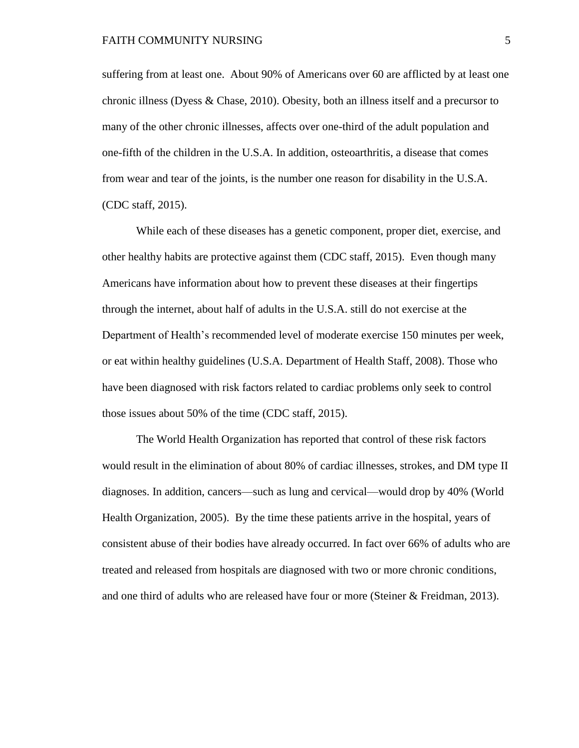suffering from at least one. About 90% of Americans over 60 are afflicted by at least one chronic illness (Dyess & Chase, 2010). Obesity, both an illness itself and a precursor to many of the other chronic illnesses, affects over one-third of the adult population and one-fifth of the children in the U.S.A. In addition, osteoarthritis, a disease that comes from wear and tear of the joints, is the number one reason for disability in the U.S.A. (CDC staff, 2015).

While each of these diseases has a genetic component, proper diet, exercise, and other healthy habits are protective against them (CDC staff, 2015). Even though many Americans have information about how to prevent these diseases at their fingertips through the internet, about half of adults in the U.S.A. still do not exercise at the Department of Health's recommended level of moderate exercise 150 minutes per week, or eat within healthy guidelines (U.S.A. Department of Health Staff, 2008). Those who have been diagnosed with risk factors related to cardiac problems only seek to control those issues about 50% of the time (CDC staff, 2015).

The World Health Organization has reported that control of these risk factors would result in the elimination of about 80% of cardiac illnesses, strokes, and DM type II diagnoses. In addition, cancers—such as lung and cervical—would drop by 40% (World Health Organization, 2005). By the time these patients arrive in the hospital, years of consistent abuse of their bodies have already occurred. In fact over 66% of adults who are treated and released from hospitals are diagnosed with two or more chronic conditions, and one third of adults who are released have four or more (Steiner & Freidman, 2013).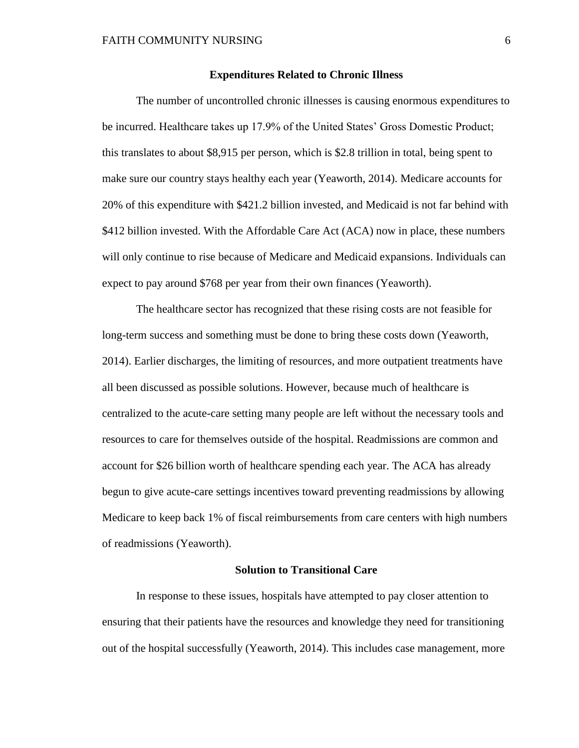## **Expenditures Related to Chronic Illness**

The number of uncontrolled chronic illnesses is causing enormous expenditures to be incurred. Healthcare takes up 17.9% of the United States' Gross Domestic Product; this translates to about \$8,915 per person, which is \$2.8 trillion in total, being spent to make sure our country stays healthy each year (Yeaworth, 2014). Medicare accounts for 20% of this expenditure with \$421.2 billion invested, and Medicaid is not far behind with \$412 billion invested. With the Affordable Care Act (ACA) now in place, these numbers will only continue to rise because of Medicare and Medicaid expansions. Individuals can expect to pay around \$768 per year from their own finances (Yeaworth).

The healthcare sector has recognized that these rising costs are not feasible for long-term success and something must be done to bring these costs down (Yeaworth, 2014). Earlier discharges, the limiting of resources, and more outpatient treatments have all been discussed as possible solutions. However, because much of healthcare is centralized to the acute-care setting many people are left without the necessary tools and resources to care for themselves outside of the hospital. Readmissions are common and account for \$26 billion worth of healthcare spending each year. The ACA has already begun to give acute-care settings incentives toward preventing readmissions by allowing Medicare to keep back 1% of fiscal reimbursements from care centers with high numbers of readmissions (Yeaworth).

### **Solution to Transitional Care**

In response to these issues, hospitals have attempted to pay closer attention to ensuring that their patients have the resources and knowledge they need for transitioning out of the hospital successfully (Yeaworth, 2014). This includes case management, more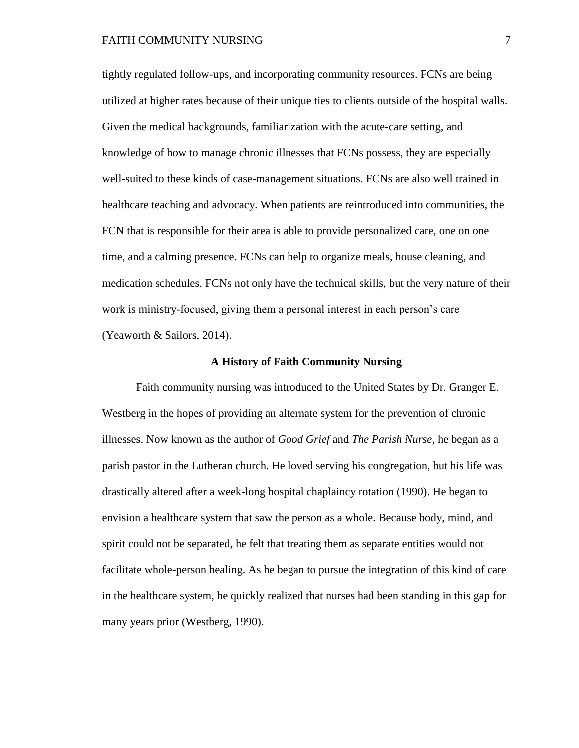### FAITH COMMUNITY NURSING 7

tightly regulated follow-ups, and incorporating community resources. FCNs are being utilized at higher rates because of their unique ties to clients outside of the hospital walls. Given the medical backgrounds, familiarization with the acute-care setting, and knowledge of how to manage chronic illnesses that FCNs possess, they are especially well-suited to these kinds of case-management situations. FCNs are also well trained in healthcare teaching and advocacy. When patients are reintroduced into communities, the FCN that is responsible for their area is able to provide personalized care, one on one time, and a calming presence. FCNs can help to organize meals, house cleaning, and medication schedules. FCNs not only have the technical skills, but the very nature of their work is ministry-focused, giving them a personal interest in each person's care (Yeaworth & Sailors, 2014).

### **A History of Faith Community Nursing**

Faith community nursing was introduced to the United States by Dr. Granger E. Westberg in the hopes of providing an alternate system for the prevention of chronic illnesses. Now known as the author of *Good Grief* and *The Parish Nurse,* he began as a parish pastor in the Lutheran church. He loved serving his congregation, but his life was drastically altered after a week-long hospital chaplaincy rotation (1990). He began to envision a healthcare system that saw the person as a whole. Because body, mind, and spirit could not be separated, he felt that treating them as separate entities would not facilitate whole-person healing. As he began to pursue the integration of this kind of care in the healthcare system, he quickly realized that nurses had been standing in this gap for many years prior (Westberg, 1990).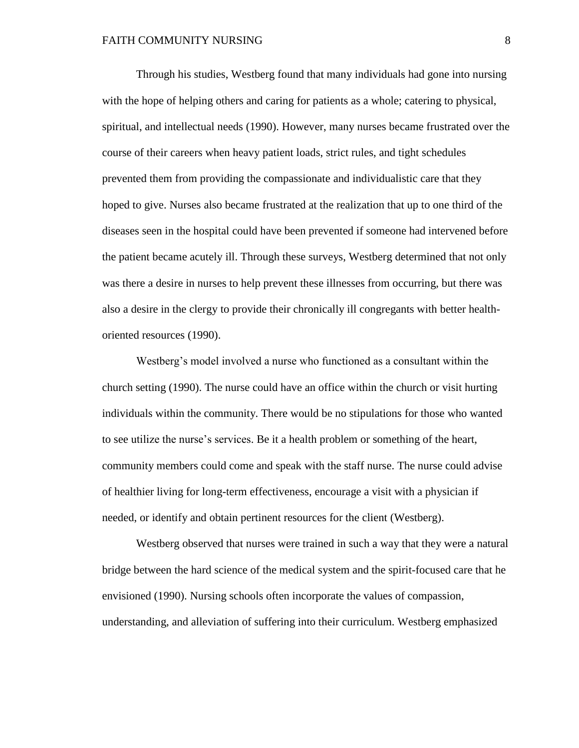Through his studies, Westberg found that many individuals had gone into nursing with the hope of helping others and caring for patients as a whole; catering to physical, spiritual, and intellectual needs (1990). However, many nurses became frustrated over the course of their careers when heavy patient loads, strict rules, and tight schedules prevented them from providing the compassionate and individualistic care that they hoped to give. Nurses also became frustrated at the realization that up to one third of the diseases seen in the hospital could have been prevented if someone had intervened before the patient became acutely ill. Through these surveys, Westberg determined that not only was there a desire in nurses to help prevent these illnesses from occurring, but there was also a desire in the clergy to provide their chronically ill congregants with better healthoriented resources (1990).

Westberg's model involved a nurse who functioned as a consultant within the church setting (1990). The nurse could have an office within the church or visit hurting individuals within the community. There would be no stipulations for those who wanted to see utilize the nurse's services. Be it a health problem or something of the heart, community members could come and speak with the staff nurse. The nurse could advise of healthier living for long-term effectiveness, encourage a visit with a physician if needed, or identify and obtain pertinent resources for the client (Westberg).

Westberg observed that nurses were trained in such a way that they were a natural bridge between the hard science of the medical system and the spirit-focused care that he envisioned (1990). Nursing schools often incorporate the values of compassion, understanding, and alleviation of suffering into their curriculum. Westberg emphasized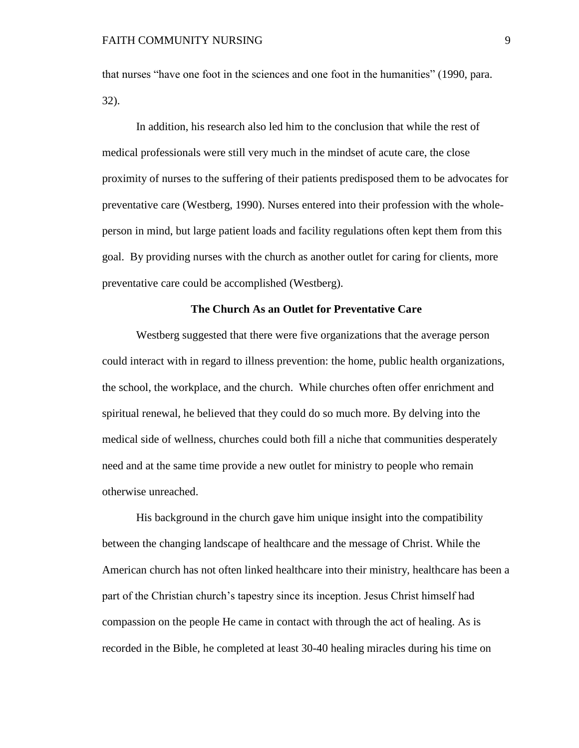that nurses "have one foot in the sciences and one foot in the humanities" (1990, para. 32).

In addition, his research also led him to the conclusion that while the rest of medical professionals were still very much in the mindset of acute care, the close proximity of nurses to the suffering of their patients predisposed them to be advocates for preventative care (Westberg, 1990). Nurses entered into their profession with the wholeperson in mind, but large patient loads and facility regulations often kept them from this goal. By providing nurses with the church as another outlet for caring for clients, more preventative care could be accomplished (Westberg).

# **The Church As an Outlet for Preventative Care**

Westberg suggested that there were five organizations that the average person could interact with in regard to illness prevention: the home, public health organizations, the school, the workplace, and the church. While churches often offer enrichment and spiritual renewal, he believed that they could do so much more. By delving into the medical side of wellness, churches could both fill a niche that communities desperately need and at the same time provide a new outlet for ministry to people who remain otherwise unreached.

His background in the church gave him unique insight into the compatibility between the changing landscape of healthcare and the message of Christ. While the American church has not often linked healthcare into their ministry, healthcare has been a part of the Christian church's tapestry since its inception. Jesus Christ himself had compassion on the people He came in contact with through the act of healing. As is recorded in the Bible, he completed at least 30-40 healing miracles during his time on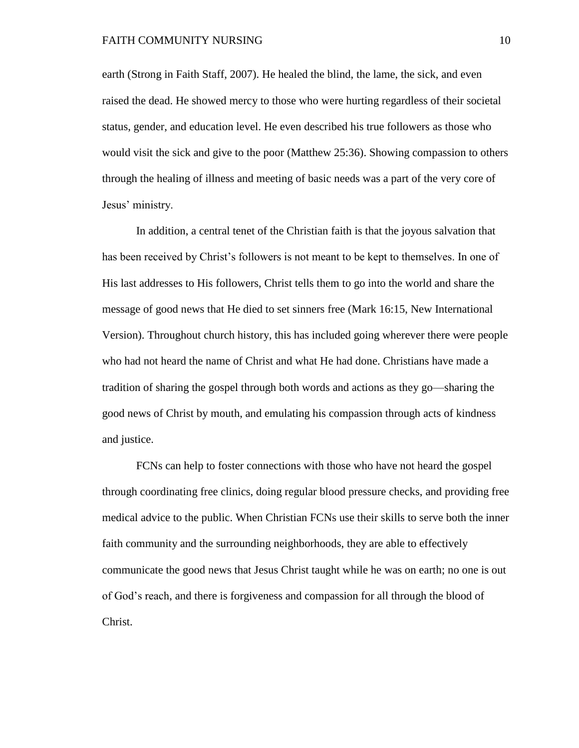earth (Strong in Faith Staff, 2007). He healed the blind, the lame, the sick, and even raised the dead. He showed mercy to those who were hurting regardless of their societal status, gender, and education level. He even described his true followers as those who would visit the sick and give to the poor (Matthew 25:36). Showing compassion to others through the healing of illness and meeting of basic needs was a part of the very core of Jesus' ministry.

In addition, a central tenet of the Christian faith is that the joyous salvation that has been received by Christ's followers is not meant to be kept to themselves. In one of His last addresses to His followers, Christ tells them to go into the world and share the message of good news that He died to set sinners free (Mark 16:15, New International Version). Throughout church history, this has included going wherever there were people who had not heard the name of Christ and what He had done. Christians have made a tradition of sharing the gospel through both words and actions as they go—sharing the good news of Christ by mouth, and emulating his compassion through acts of kindness and justice.

FCNs can help to foster connections with those who have not heard the gospel through coordinating free clinics, doing regular blood pressure checks, and providing free medical advice to the public. When Christian FCNs use their skills to serve both the inner faith community and the surrounding neighborhoods, they are able to effectively communicate the good news that Jesus Christ taught while he was on earth; no one is out of God's reach, and there is forgiveness and compassion for all through the blood of Christ.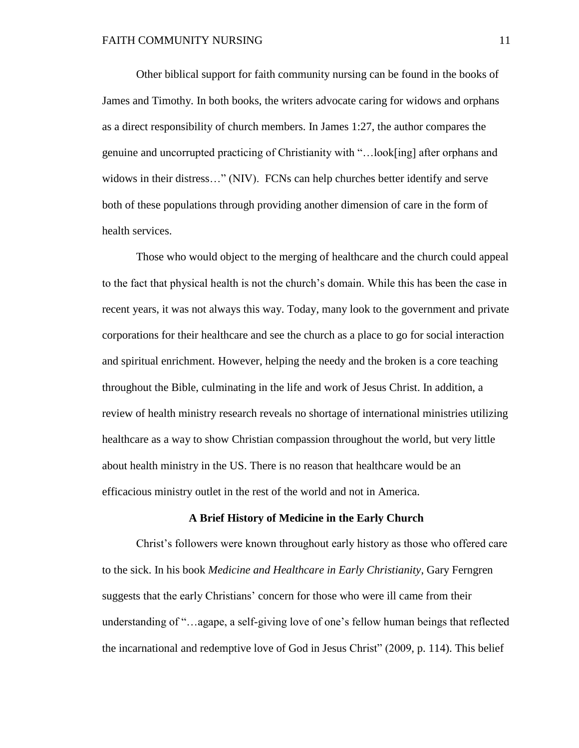Other biblical support for faith community nursing can be found in the books of James and Timothy. In both books, the writers advocate caring for widows and orphans as a direct responsibility of church members. In James 1:27, the author compares the genuine and uncorrupted practicing of Christianity with "…look[ing] after orphans and widows in their distress..." (NIV). FCNs can help churches better identify and serve both of these populations through providing another dimension of care in the form of health services.

Those who would object to the merging of healthcare and the church could appeal to the fact that physical health is not the church's domain. While this has been the case in recent years, it was not always this way. Today, many look to the government and private corporations for their healthcare and see the church as a place to go for social interaction and spiritual enrichment. However, helping the needy and the broken is a core teaching throughout the Bible, culminating in the life and work of Jesus Christ. In addition, a review of health ministry research reveals no shortage of international ministries utilizing healthcare as a way to show Christian compassion throughout the world, but very little about health ministry in the US. There is no reason that healthcare would be an efficacious ministry outlet in the rest of the world and not in America.

#### **A Brief History of Medicine in the Early Church**

Christ's followers were known throughout early history as those who offered care to the sick. In his book *Medicine and Healthcare in Early Christianity*, Gary Ferngren suggests that the early Christians' concern for those who were ill came from their understanding of "…agape, a self-giving love of one's fellow human beings that reflected the incarnational and redemptive love of God in Jesus Christ" (2009, p. 114). This belief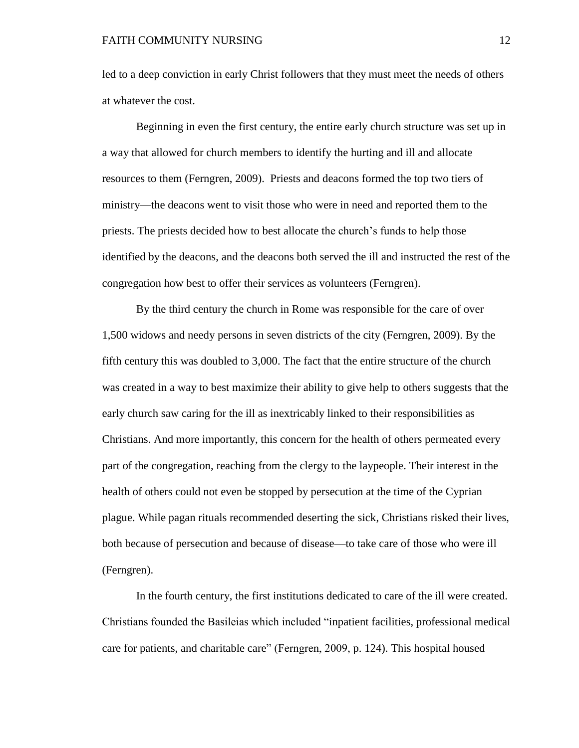led to a deep conviction in early Christ followers that they must meet the needs of others at whatever the cost.

Beginning in even the first century, the entire early church structure was set up in a way that allowed for church members to identify the hurting and ill and allocate resources to them (Ferngren, 2009). Priests and deacons formed the top two tiers of ministry—the deacons went to visit those who were in need and reported them to the priests. The priests decided how to best allocate the church's funds to help those identified by the deacons, and the deacons both served the ill and instructed the rest of the congregation how best to offer their services as volunteers (Ferngren).

By the third century the church in Rome was responsible for the care of over 1,500 widows and needy persons in seven districts of the city (Ferngren, 2009). By the fifth century this was doubled to 3,000. The fact that the entire structure of the church was created in a way to best maximize their ability to give help to others suggests that the early church saw caring for the ill as inextricably linked to their responsibilities as Christians. And more importantly, this concern for the health of others permeated every part of the congregation, reaching from the clergy to the laypeople. Their interest in the health of others could not even be stopped by persecution at the time of the Cyprian plague. While pagan rituals recommended deserting the sick, Christians risked their lives, both because of persecution and because of disease—to take care of those who were ill (Ferngren).

In the fourth century, the first institutions dedicated to care of the ill were created. Christians founded the Basileias which included "inpatient facilities, professional medical care for patients, and charitable care" (Ferngren, 2009, p. 124). This hospital housed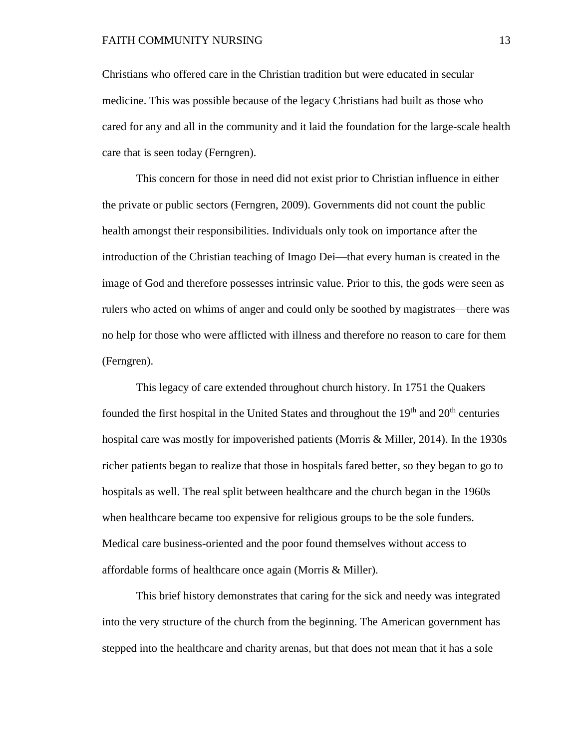Christians who offered care in the Christian tradition but were educated in secular medicine. This was possible because of the legacy Christians had built as those who cared for any and all in the community and it laid the foundation for the large-scale health care that is seen today (Ferngren).

This concern for those in need did not exist prior to Christian influence in either the private or public sectors (Ferngren, 2009). Governments did not count the public health amongst their responsibilities. Individuals only took on importance after the introduction of the Christian teaching of Imago Dei—that every human is created in the image of God and therefore possesses intrinsic value. Prior to this, the gods were seen as rulers who acted on whims of anger and could only be soothed by magistrates—there was no help for those who were afflicted with illness and therefore no reason to care for them (Ferngren).

This legacy of care extended throughout church history. In 1751 the Quakers founded the first hospital in the United States and throughout the  $19<sup>th</sup>$  and  $20<sup>th</sup>$  centuries hospital care was mostly for impoverished patients (Morris & Miller, 2014). In the 1930s richer patients began to realize that those in hospitals fared better, so they began to go to hospitals as well. The real split between healthcare and the church began in the 1960s when healthcare became too expensive for religious groups to be the sole funders. Medical care business-oriented and the poor found themselves without access to affordable forms of healthcare once again (Morris & Miller).

This brief history demonstrates that caring for the sick and needy was integrated into the very structure of the church from the beginning. The American government has stepped into the healthcare and charity arenas, but that does not mean that it has a sole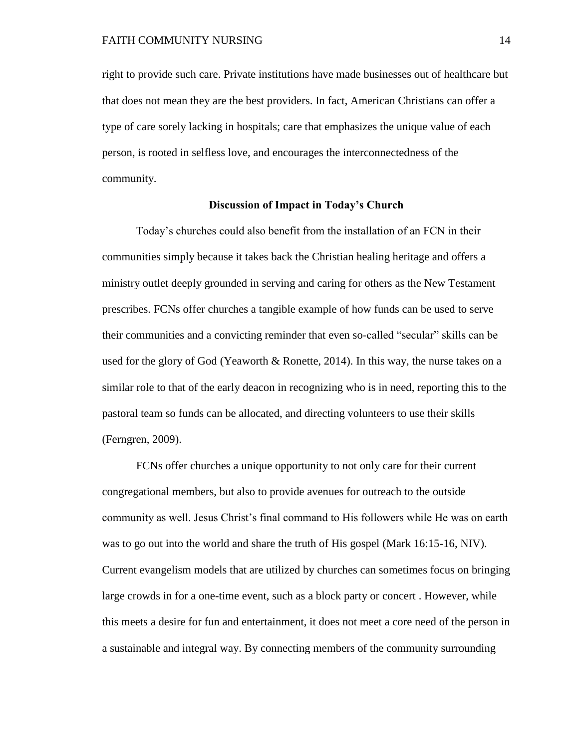right to provide such care. Private institutions have made businesses out of healthcare but that does not mean they are the best providers. In fact, American Christians can offer a type of care sorely lacking in hospitals; care that emphasizes the unique value of each person, is rooted in selfless love, and encourages the interconnectedness of the community.

# **Discussion of Impact in Today's Church**

Today's churches could also benefit from the installation of an FCN in their communities simply because it takes back the Christian healing heritage and offers a ministry outlet deeply grounded in serving and caring for others as the New Testament prescribes. FCNs offer churches a tangible example of how funds can be used to serve their communities and a convicting reminder that even so-called "secular" skills can be used for the glory of God (Yeaworth  $\&$  Ronette, 2014). In this way, the nurse takes on a similar role to that of the early deacon in recognizing who is in need, reporting this to the pastoral team so funds can be allocated, and directing volunteers to use their skills (Ferngren, 2009).

FCNs offer churches a unique opportunity to not only care for their current congregational members, but also to provide avenues for outreach to the outside community as well. Jesus Christ's final command to His followers while He was on earth was to go out into the world and share the truth of His gospel (Mark 16:15-16, NIV). Current evangelism models that are utilized by churches can sometimes focus on bringing large crowds in for a one-time event, such as a block party or concert . However, while this meets a desire for fun and entertainment, it does not meet a core need of the person in a sustainable and integral way. By connecting members of the community surrounding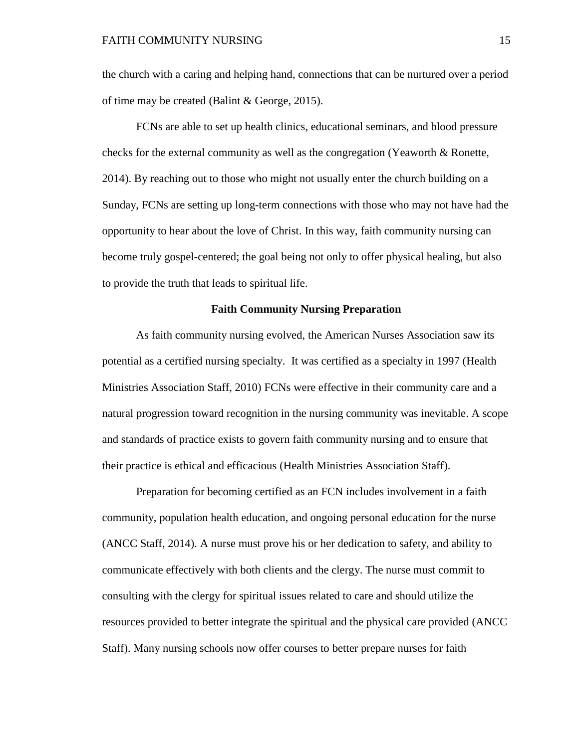the church with a caring and helping hand, connections that can be nurtured over a period of time may be created (Balint & George, 2015).

FCNs are able to set up health clinics, educational seminars, and blood pressure checks for the external community as well as the congregation (Yeaworth & Ronette, 2014). By reaching out to those who might not usually enter the church building on a Sunday, FCNs are setting up long-term connections with those who may not have had the opportunity to hear about the love of Christ. In this way, faith community nursing can become truly gospel-centered; the goal being not only to offer physical healing, but also to provide the truth that leads to spiritual life.

# **Faith Community Nursing Preparation**

As faith community nursing evolved, the American Nurses Association saw its potential as a certified nursing specialty. It was certified as a specialty in 1997 (Health Ministries Association Staff, 2010) FCNs were effective in their community care and a natural progression toward recognition in the nursing community was inevitable. A scope and standards of practice exists to govern faith community nursing and to ensure that their practice is ethical and efficacious (Health Ministries Association Staff).

Preparation for becoming certified as an FCN includes involvement in a faith community, population health education, and ongoing personal education for the nurse (ANCC Staff, 2014). A nurse must prove his or her dedication to safety, and ability to communicate effectively with both clients and the clergy. The nurse must commit to consulting with the clergy for spiritual issues related to care and should utilize the resources provided to better integrate the spiritual and the physical care provided (ANCC Staff). Many nursing schools now offer courses to better prepare nurses for faith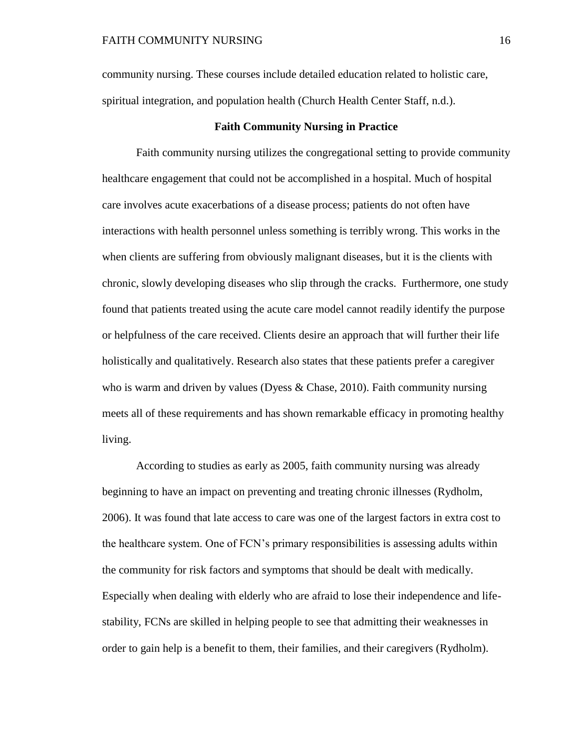community nursing. These courses include detailed education related to holistic care, spiritual integration, and population health (Church Health Center Staff, n.d.).

## **Faith Community Nursing in Practice**

Faith community nursing utilizes the congregational setting to provide community healthcare engagement that could not be accomplished in a hospital. Much of hospital care involves acute exacerbations of a disease process; patients do not often have interactions with health personnel unless something is terribly wrong. This works in the when clients are suffering from obviously malignant diseases, but it is the clients with chronic, slowly developing diseases who slip through the cracks. Furthermore, one study found that patients treated using the acute care model cannot readily identify the purpose or helpfulness of the care received. Clients desire an approach that will further their life holistically and qualitatively. Research also states that these patients prefer a caregiver who is warm and driven by values (Dyess & Chase, 2010). Faith community nursing meets all of these requirements and has shown remarkable efficacy in promoting healthy living.

According to studies as early as 2005, faith community nursing was already beginning to have an impact on preventing and treating chronic illnesses (Rydholm, 2006). It was found that late access to care was one of the largest factors in extra cost to the healthcare system. One of FCN's primary responsibilities is assessing adults within the community for risk factors and symptoms that should be dealt with medically. Especially when dealing with elderly who are afraid to lose their independence and lifestability, FCNs are skilled in helping people to see that admitting their weaknesses in order to gain help is a benefit to them, their families, and their caregivers (Rydholm).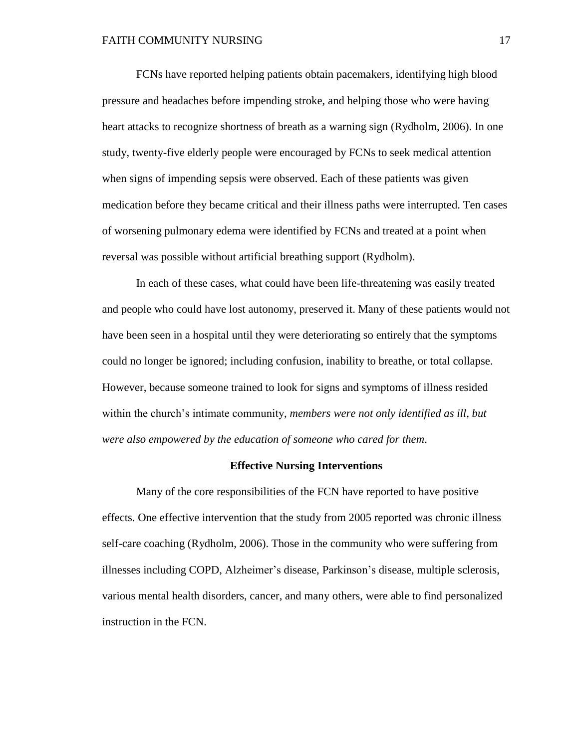FCNs have reported helping patients obtain pacemakers, identifying high blood pressure and headaches before impending stroke, and helping those who were having heart attacks to recognize shortness of breath as a warning sign (Rydholm, 2006). In one study, twenty-five elderly people were encouraged by FCNs to seek medical attention when signs of impending sepsis were observed. Each of these patients was given medication before they became critical and their illness paths were interrupted. Ten cases of worsening pulmonary edema were identified by FCNs and treated at a point when reversal was possible without artificial breathing support (Rydholm).

In each of these cases, what could have been life-threatening was easily treated and people who could have lost autonomy, preserved it. Many of these patients would not have been seen in a hospital until they were deteriorating so entirely that the symptoms could no longer be ignored; including confusion, inability to breathe, or total collapse. However, because someone trained to look for signs and symptoms of illness resided within the church's intimate community, *members were not only identified as ill, but were also empowered by the education of someone who cared for them*.

### **Effective Nursing Interventions**

Many of the core responsibilities of the FCN have reported to have positive effects. One effective intervention that the study from 2005 reported was chronic illness self-care coaching (Rydholm, 2006). Those in the community who were suffering from illnesses including COPD, Alzheimer's disease, Parkinson's disease, multiple sclerosis, various mental health disorders, cancer, and many others, were able to find personalized instruction in the FCN.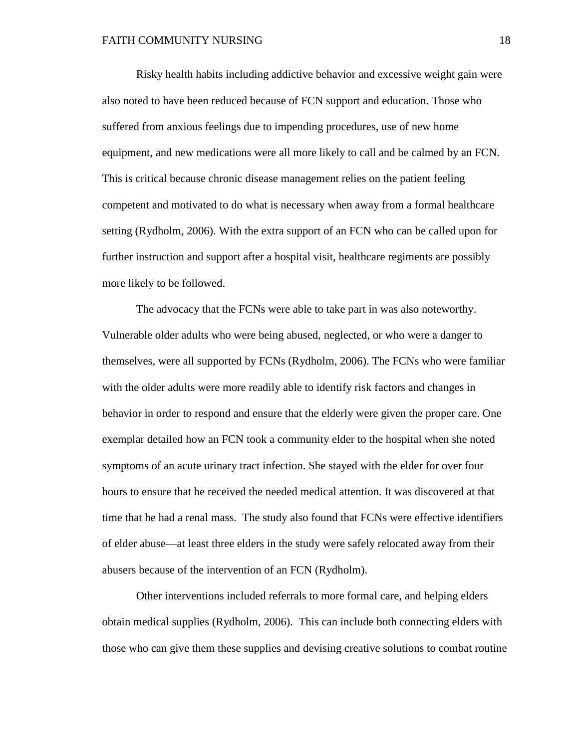Risky health habits including addictive behavior and excessive weight gain were also noted to have been reduced because of FCN support and education. Those who suffered from anxious feelings due to impending procedures, use of new home equipment, and new medications were all more likely to call and be calmed by an FCN. This is critical because chronic disease management relies on the patient feeling competent and motivated to do what is necessary when away from a formal healthcare setting (Rydholm, 2006). With the extra support of an FCN who can be called upon for further instruction and support after a hospital visit, healthcare regiments are possibly more likely to be followed.

The advocacy that the FCNs were able to take part in was also noteworthy. Vulnerable older adults who were being abused, neglected, or who were a danger to themselves, were all supported by FCNs (Rydholm, 2006). The FCNs who were familiar with the older adults were more readily able to identify risk factors and changes in behavior in order to respond and ensure that the elderly were given the proper care. One exemplar detailed how an FCN took a community elder to the hospital when she noted symptoms of an acute urinary tract infection. She stayed with the elder for over four hours to ensure that he received the needed medical attention. It was discovered at that time that he had a renal mass. The study also found that FCNs were effective identifiers of elder abuse—at least three elders in the study were safely relocated away from their abusers because of the intervention of an FCN (Rydholm).

Other interventions included referrals to more formal care, and helping elders obtain medical supplies (Rydholm, 2006). This can include both connecting elders with those who can give them these supplies and devising creative solutions to combat routine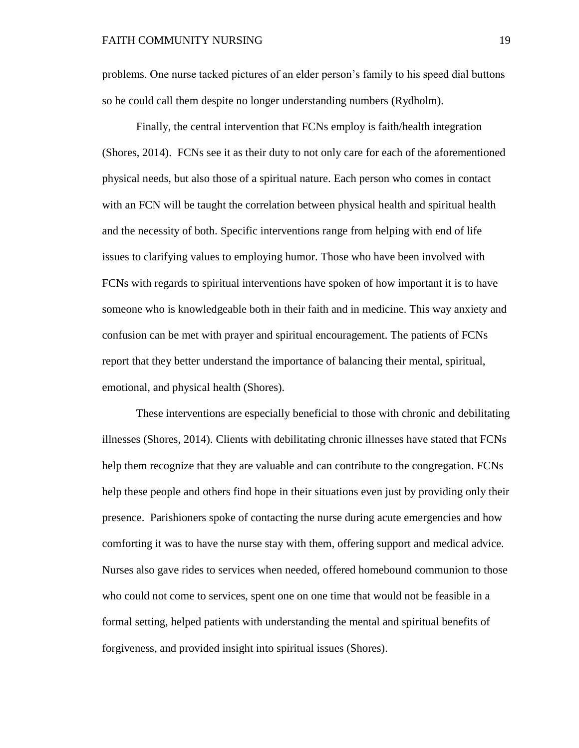problems. One nurse tacked pictures of an elder person's family to his speed dial buttons so he could call them despite no longer understanding numbers (Rydholm).

Finally, the central intervention that FCNs employ is faith/health integration (Shores, 2014). FCNs see it as their duty to not only care for each of the aforementioned physical needs, but also those of a spiritual nature. Each person who comes in contact with an FCN will be taught the correlation between physical health and spiritual health and the necessity of both. Specific interventions range from helping with end of life issues to clarifying values to employing humor. Those who have been involved with FCNs with regards to spiritual interventions have spoken of how important it is to have someone who is knowledgeable both in their faith and in medicine. This way anxiety and confusion can be met with prayer and spiritual encouragement. The patients of FCNs report that they better understand the importance of balancing their mental, spiritual, emotional, and physical health (Shores).

These interventions are especially beneficial to those with chronic and debilitating illnesses (Shores, 2014). Clients with debilitating chronic illnesses have stated that FCNs help them recognize that they are valuable and can contribute to the congregation. FCNs help these people and others find hope in their situations even just by providing only their presence. Parishioners spoke of contacting the nurse during acute emergencies and how comforting it was to have the nurse stay with them, offering support and medical advice. Nurses also gave rides to services when needed, offered homebound communion to those who could not come to services, spent one on one time that would not be feasible in a formal setting, helped patients with understanding the mental and spiritual benefits of forgiveness, and provided insight into spiritual issues (Shores).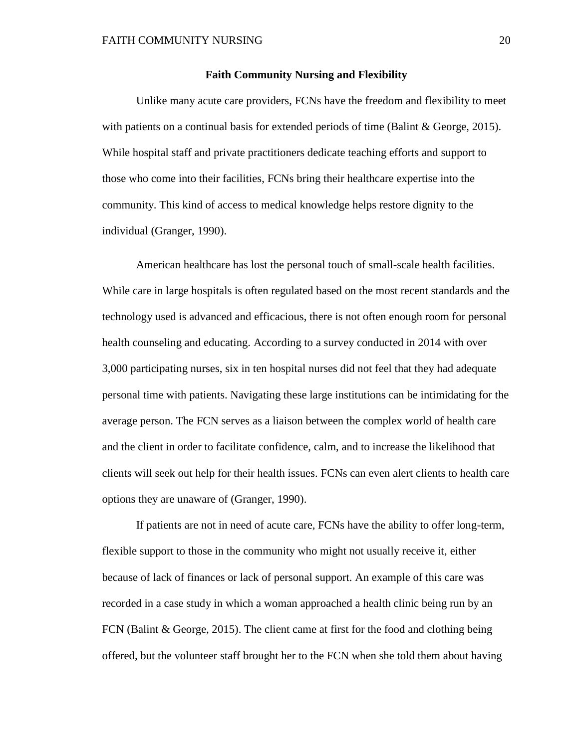## **Faith Community Nursing and Flexibility**

Unlike many acute care providers, FCNs have the freedom and flexibility to meet with patients on a continual basis for extended periods of time (Balint & George, 2015). While hospital staff and private practitioners dedicate teaching efforts and support to those who come into their facilities, FCNs bring their healthcare expertise into the community. This kind of access to medical knowledge helps restore dignity to the individual (Granger, 1990).

American healthcare has lost the personal touch of small-scale health facilities. While care in large hospitals is often regulated based on the most recent standards and the technology used is advanced and efficacious, there is not often enough room for personal health counseling and educating. According to a survey conducted in 2014 with over 3,000 participating nurses, six in ten hospital nurses did not feel that they had adequate personal time with patients. Navigating these large institutions can be intimidating for the average person. The FCN serves as a liaison between the complex world of health care and the client in order to facilitate confidence, calm, and to increase the likelihood that clients will seek out help for their health issues. FCNs can even alert clients to health care options they are unaware of (Granger, 1990).

If patients are not in need of acute care, FCNs have the ability to offer long-term, flexible support to those in the community who might not usually receive it, either because of lack of finances or lack of personal support. An example of this care was recorded in a case study in which a woman approached a health clinic being run by an FCN (Balint & George, 2015). The client came at first for the food and clothing being offered, but the volunteer staff brought her to the FCN when she told them about having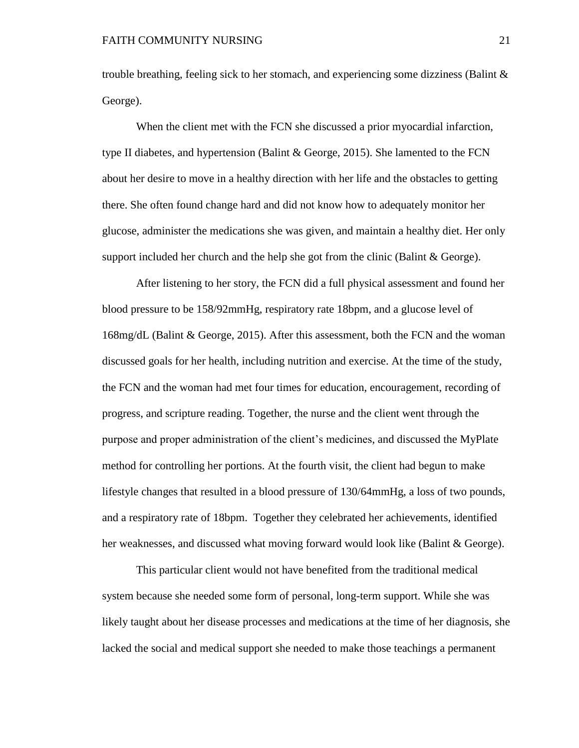trouble breathing, feeling sick to her stomach, and experiencing some dizziness (Balint  $\&$ George).

When the client met with the FCN she discussed a prior myocardial infarction, type II diabetes, and hypertension (Balint & George, 2015). She lamented to the FCN about her desire to move in a healthy direction with her life and the obstacles to getting there. She often found change hard and did not know how to adequately monitor her glucose, administer the medications she was given, and maintain a healthy diet. Her only support included her church and the help she got from the clinic (Balint & George).

After listening to her story, the FCN did a full physical assessment and found her blood pressure to be 158/92mmHg, respiratory rate 18bpm, and a glucose level of 168mg/dL (Balint & George, 2015). After this assessment, both the FCN and the woman discussed goals for her health, including nutrition and exercise. At the time of the study, the FCN and the woman had met four times for education, encouragement, recording of progress, and scripture reading. Together, the nurse and the client went through the purpose and proper administration of the client's medicines, and discussed the MyPlate method for controlling her portions. At the fourth visit, the client had begun to make lifestyle changes that resulted in a blood pressure of 130/64mmHg, a loss of two pounds, and a respiratory rate of 18bpm. Together they celebrated her achievements, identified her weaknesses, and discussed what moving forward would look like (Balint & George).

This particular client would not have benefited from the traditional medical system because she needed some form of personal, long-term support. While she was likely taught about her disease processes and medications at the time of her diagnosis, she lacked the social and medical support she needed to make those teachings a permanent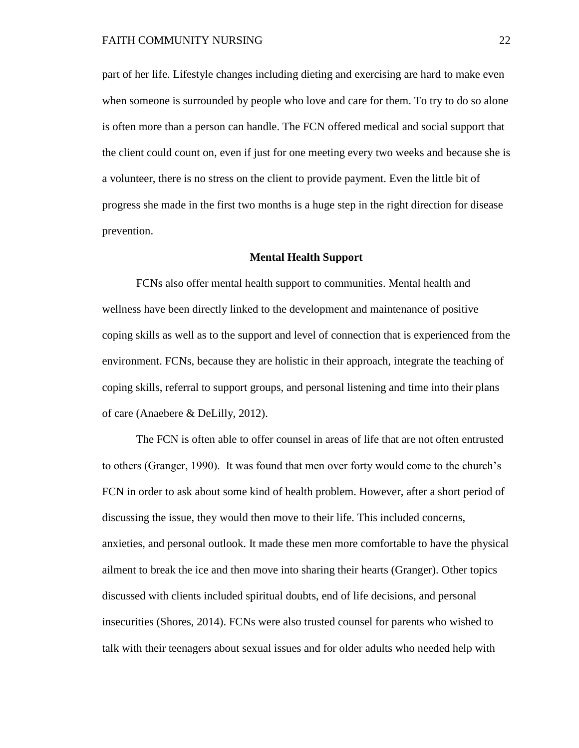part of her life. Lifestyle changes including dieting and exercising are hard to make even when someone is surrounded by people who love and care for them. To try to do so alone is often more than a person can handle. The FCN offered medical and social support that the client could count on, even if just for one meeting every two weeks and because she is a volunteer, there is no stress on the client to provide payment. Even the little bit of progress she made in the first two months is a huge step in the right direction for disease prevention.

#### **Mental Health Support**

FCNs also offer mental health support to communities. Mental health and wellness have been directly linked to the development and maintenance of positive coping skills as well as to the support and level of connection that is experienced from the environment. FCNs, because they are holistic in their approach, integrate the teaching of coping skills, referral to support groups, and personal listening and time into their plans of care (Anaebere & DeLilly, 2012).

The FCN is often able to offer counsel in areas of life that are not often entrusted to others (Granger, 1990). It was found that men over forty would come to the church's FCN in order to ask about some kind of health problem. However, after a short period of discussing the issue, they would then move to their life. This included concerns, anxieties, and personal outlook. It made these men more comfortable to have the physical ailment to break the ice and then move into sharing their hearts (Granger). Other topics discussed with clients included spiritual doubts, end of life decisions, and personal insecurities (Shores, 2014). FCNs were also trusted counsel for parents who wished to talk with their teenagers about sexual issues and for older adults who needed help with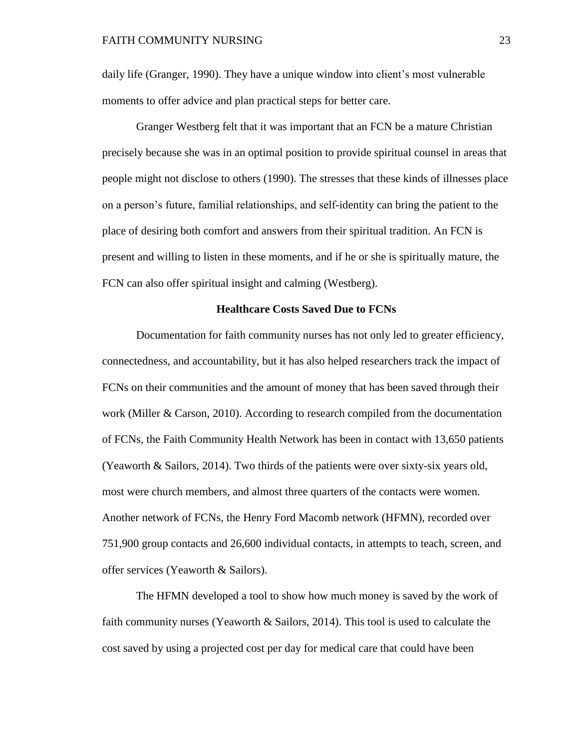daily life (Granger, 1990). They have a unique window into client's most vulnerable moments to offer advice and plan practical steps for better care.

Granger Westberg felt that it was important that an FCN be a mature Christian precisely because she was in an optimal position to provide spiritual counsel in areas that people might not disclose to others (1990). The stresses that these kinds of illnesses place on a person's future, familial relationships, and self-identity can bring the patient to the place of desiring both comfort and answers from their spiritual tradition. An FCN is present and willing to listen in these moments, and if he or she is spiritually mature, the FCN can also offer spiritual insight and calming (Westberg).

# **Healthcare Costs Saved Due to FCNs**

Documentation for faith community nurses has not only led to greater efficiency, connectedness, and accountability, but it has also helped researchers track the impact of FCNs on their communities and the amount of money that has been saved through their work (Miller & Carson, 2010). According to research compiled from the documentation of FCNs, the Faith Community Health Network has been in contact with 13,650 patients (Yeaworth & Sailors, 2014). Two thirds of the patients were over sixty-six years old, most were church members, and almost three quarters of the contacts were women. Another network of FCNs, the Henry Ford Macomb network (HFMN), recorded over 751,900 group contacts and 26,600 individual contacts, in attempts to teach, screen, and offer services (Yeaworth & Sailors).

The HFMN developed a tool to show how much money is saved by the work of faith community nurses (Yeaworth & Sailors, 2014). This tool is used to calculate the cost saved by using a projected cost per day for medical care that could have been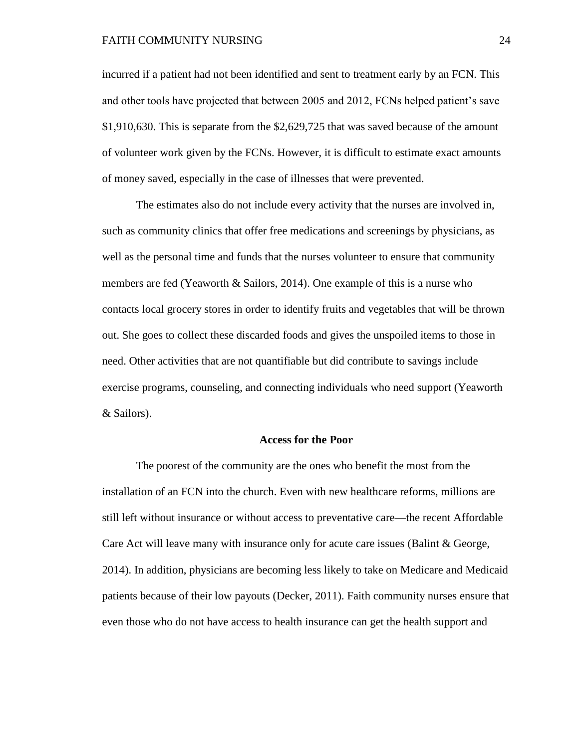#### FAITH COMMUNITY NURSING 24

incurred if a patient had not been identified and sent to treatment early by an FCN. This and other tools have projected that between 2005 and 2012, FCNs helped patient's save \$1,910,630. This is separate from the \$2,629,725 that was saved because of the amount of volunteer work given by the FCNs. However, it is difficult to estimate exact amounts of money saved, especially in the case of illnesses that were prevented.

The estimates also do not include every activity that the nurses are involved in, such as community clinics that offer free medications and screenings by physicians, as well as the personal time and funds that the nurses volunteer to ensure that community members are fed (Yeaworth & Sailors, 2014). One example of this is a nurse who contacts local grocery stores in order to identify fruits and vegetables that will be thrown out. She goes to collect these discarded foods and gives the unspoiled items to those in need. Other activities that are not quantifiable but did contribute to savings include exercise programs, counseling, and connecting individuals who need support (Yeaworth & Sailors).

### **Access for the Poor**

The poorest of the community are the ones who benefit the most from the installation of an FCN into the church. Even with new healthcare reforms, millions are still left without insurance or without access to preventative care—the recent Affordable Care Act will leave many with insurance only for acute care issues (Balint & George, 2014). In addition, physicians are becoming less likely to take on Medicare and Medicaid patients because of their low payouts (Decker, 2011). Faith community nurses ensure that even those who do not have access to health insurance can get the health support and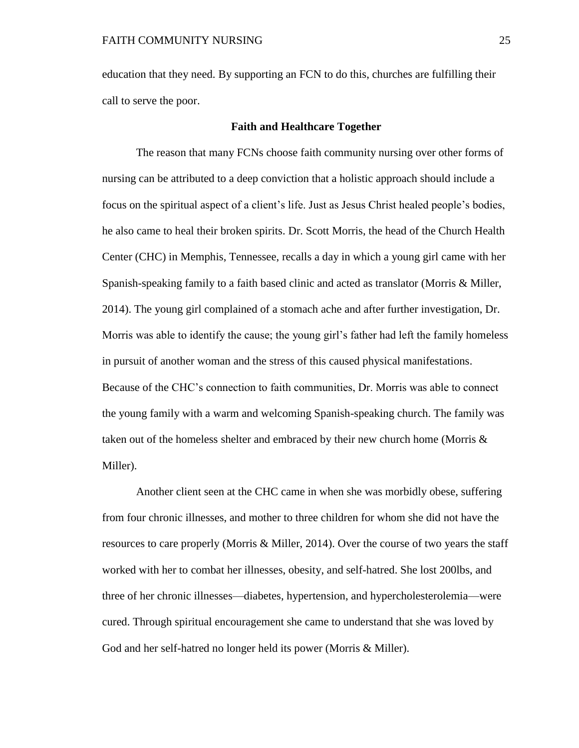education that they need. By supporting an FCN to do this, churches are fulfilling their call to serve the poor.

## **Faith and Healthcare Together**

The reason that many FCNs choose faith community nursing over other forms of nursing can be attributed to a deep conviction that a holistic approach should include a focus on the spiritual aspect of a client's life. Just as Jesus Christ healed people's bodies, he also came to heal their broken spirits. Dr. Scott Morris, the head of the Church Health Center (CHC) in Memphis, Tennessee, recalls a day in which a young girl came with her Spanish-speaking family to a faith based clinic and acted as translator (Morris & Miller, 2014). The young girl complained of a stomach ache and after further investigation, Dr. Morris was able to identify the cause; the young girl's father had left the family homeless in pursuit of another woman and the stress of this caused physical manifestations. Because of the CHC's connection to faith communities, Dr. Morris was able to connect the young family with a warm and welcoming Spanish-speaking church. The family was taken out of the homeless shelter and embraced by their new church home (Morris & Miller).

Another client seen at the CHC came in when she was morbidly obese, suffering from four chronic illnesses, and mother to three children for whom she did not have the resources to care properly (Morris & Miller, 2014). Over the course of two years the staff worked with her to combat her illnesses, obesity, and self-hatred. She lost 200lbs, and three of her chronic illnesses—diabetes, hypertension, and hypercholesterolemia—were cured. Through spiritual encouragement she came to understand that she was loved by God and her self-hatred no longer held its power (Morris & Miller).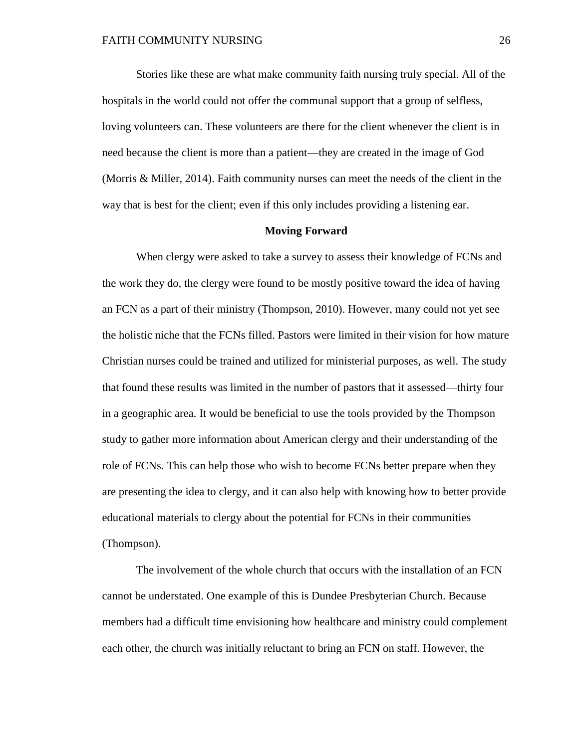Stories like these are what make community faith nursing truly special. All of the hospitals in the world could not offer the communal support that a group of selfless, loving volunteers can. These volunteers are there for the client whenever the client is in need because the client is more than a patient—they are created in the image of God (Morris & Miller, 2014). Faith community nurses can meet the needs of the client in the way that is best for the client; even if this only includes providing a listening ear.

### **Moving Forward**

When clergy were asked to take a survey to assess their knowledge of FCNs and the work they do, the clergy were found to be mostly positive toward the idea of having an FCN as a part of their ministry (Thompson, 2010). However, many could not yet see the holistic niche that the FCNs filled. Pastors were limited in their vision for how mature Christian nurses could be trained and utilized for ministerial purposes, as well. The study that found these results was limited in the number of pastors that it assessed—thirty four in a geographic area. It would be beneficial to use the tools provided by the Thompson study to gather more information about American clergy and their understanding of the role of FCNs. This can help those who wish to become FCNs better prepare when they are presenting the idea to clergy, and it can also help with knowing how to better provide educational materials to clergy about the potential for FCNs in their communities (Thompson).

The involvement of the whole church that occurs with the installation of an FCN cannot be understated. One example of this is Dundee Presbyterian Church. Because members had a difficult time envisioning how healthcare and ministry could complement each other, the church was initially reluctant to bring an FCN on staff. However, the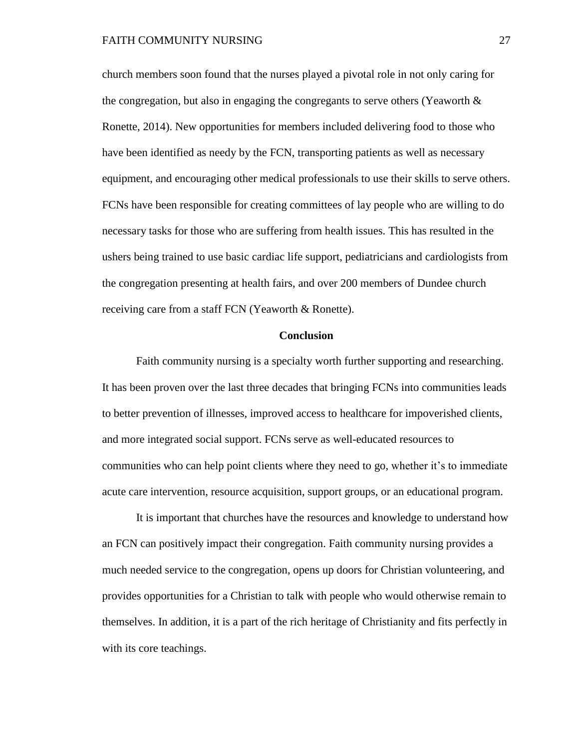church members soon found that the nurses played a pivotal role in not only caring for the congregation, but also in engaging the congregants to serve others (Yeaworth  $\&$ Ronette, 2014). New opportunities for members included delivering food to those who have been identified as needy by the FCN, transporting patients as well as necessary equipment, and encouraging other medical professionals to use their skills to serve others. FCNs have been responsible for creating committees of lay people who are willing to do necessary tasks for those who are suffering from health issues. This has resulted in the ushers being trained to use basic cardiac life support, pediatricians and cardiologists from the congregation presenting at health fairs, and over 200 members of Dundee church receiving care from a staff FCN (Yeaworth & Ronette).

#### **Conclusion**

Faith community nursing is a specialty worth further supporting and researching. It has been proven over the last three decades that bringing FCNs into communities leads to better prevention of illnesses, improved access to healthcare for impoverished clients, and more integrated social support. FCNs serve as well-educated resources to communities who can help point clients where they need to go, whether it's to immediate acute care intervention, resource acquisition, support groups, or an educational program.

It is important that churches have the resources and knowledge to understand how an FCN can positively impact their congregation. Faith community nursing provides a much needed service to the congregation, opens up doors for Christian volunteering, and provides opportunities for a Christian to talk with people who would otherwise remain to themselves. In addition, it is a part of the rich heritage of Christianity and fits perfectly in with its core teachings.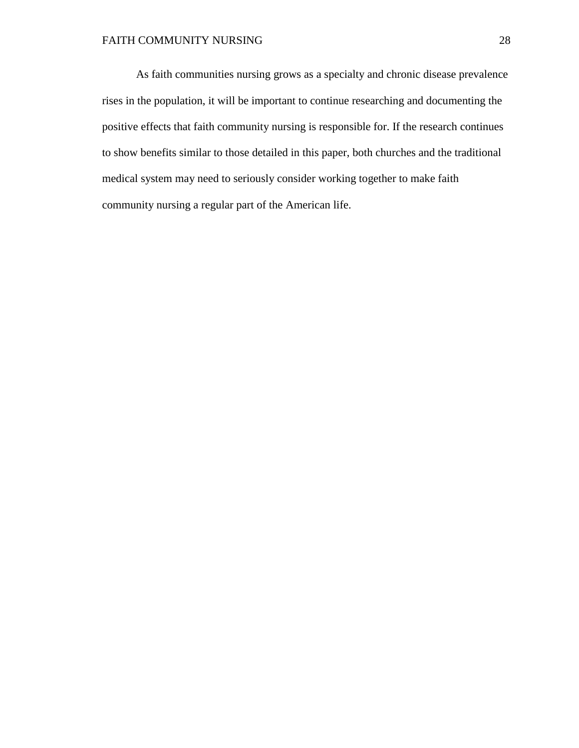As faith communities nursing grows as a specialty and chronic disease prevalence rises in the population, it will be important to continue researching and documenting the positive effects that faith community nursing is responsible for. If the research continues to show benefits similar to those detailed in this paper, both churches and the traditional medical system may need to seriously consider working together to make faith community nursing a regular part of the American life.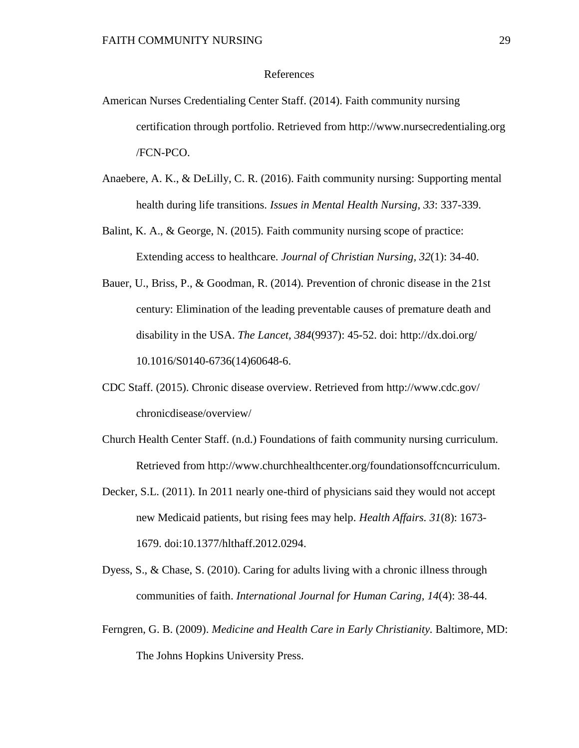# References

- American Nurses Credentialing Center Staff. (2014). Faith community nursing certification through portfolio. Retrieved from http://www.nursecredentialing.org /FCN-PCO.
- Anaebere, A. K., & DeLilly, C. R. (2016). Faith community nursing: Supporting mental health during life transitions. *Issues in Mental Health Nursing, 33*: 337-339.
- Balint, K. A., & George, N. (2015). Faith community nursing scope of practice: Extending access to healthcare. *Journal of Christian Nursing, 32*(1): 34-40.
- Bauer, U., Briss, P., & Goodman, R. (2014). Prevention of chronic disease in the 21st century: Elimination of the leading preventable causes of premature death and disability in the USA. *The Lancet, 384*(9937): 45-52. doi: http://dx.doi.org/ 10.1016/S0140-6736(14)60648-6.
- CDC Staff. (2015). Chronic disease overview. Retrieved from http://www.cdc.gov/ chronicdisease/overview/
- Church Health Center Staff. (n.d.) Foundations of faith community nursing curriculum. Retrieved from http://www.churchhealthcenter.org/foundationsoffcncurriculum.
- Decker, S.L. (2011). In 2011 nearly one-third of physicians said they would not accept new Medicaid patients, but rising fees may help. *Health Affairs. 31*(8): 1673- 1679. doi:10.1377/hlthaff.2012.0294.
- Dyess, S., & Chase, S. (2010). Caring for adults living with a chronic illness through communities of faith. *International Journal for Human Caring, 14*(4): 38-44.
- Ferngren, G. B. (2009). *Medicine and Health Care in Early Christianity.* Baltimore, MD: The Johns Hopkins University Press.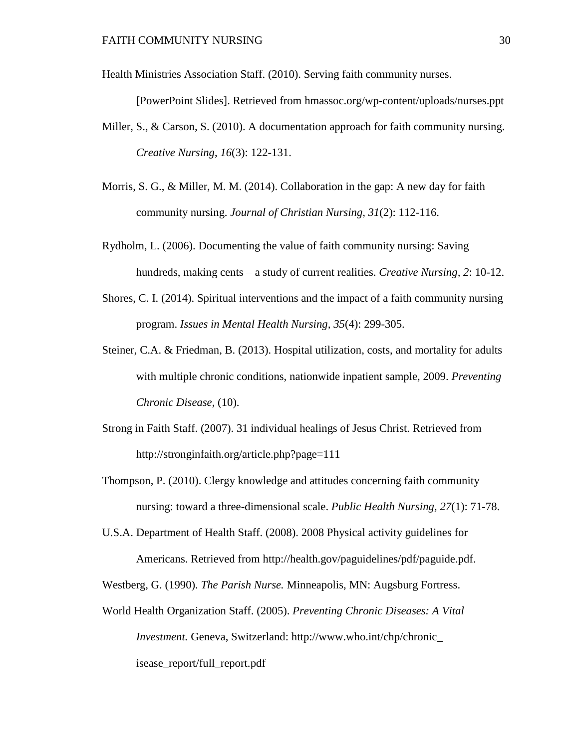Health Ministries Association Staff. (2010). Serving faith community nurses.

[PowerPoint Slides]. Retrieved from hmassoc.org/wp-content/uploads/nurses.ppt

- Miller, S., & Carson, S. (2010). A documentation approach for faith community nursing. *Creative Nursing*, *16*(3): 122-131.
- Morris, S. G., & Miller, M. M. (2014). Collaboration in the gap: A new day for faith community nursing. *Journal of Christian Nursing, 31*(2): 112-116.
- Rydholm, L. (2006). Documenting the value of faith community nursing: Saving hundreds, making cents – a study of current realities. *Creative Nursing, 2*: 10-12.
- Shores, C. I. (2014). Spiritual interventions and the impact of a faith community nursing program. *Issues in Mental Health Nursing, 35*(4): 299-305.
- Steiner, C.A. & Friedman, B. (2013). Hospital utilization, costs, and mortality for adults with multiple chronic conditions, nationwide inpatient sample, 2009. *Preventing Chronic Disease,* (10).
- Strong in Faith Staff. (2007). 31 individual healings of Jesus Christ. Retrieved from http://stronginfaith.org/article.php?page=111
- Thompson, P. (2010). Clergy knowledge and attitudes concerning faith community nursing: toward a three-dimensional scale. *Public Health Nursing, 27*(1): 71-78.
- U.S.A. Department of Health Staff. (2008). 2008 Physical activity guidelines for Americans. Retrieved from http://health.gov/paguidelines/pdf/paguide.pdf.

Westberg, G. (1990). *The Parish Nurse.* Minneapolis, MN: Augsburg Fortress.

World Health Organization Staff. (2005). *Preventing Chronic Diseases: A Vital Investment.* Geneva, Switzerland: http://www.who.int/chp/chronic\_ isease\_report/full\_report.pdf